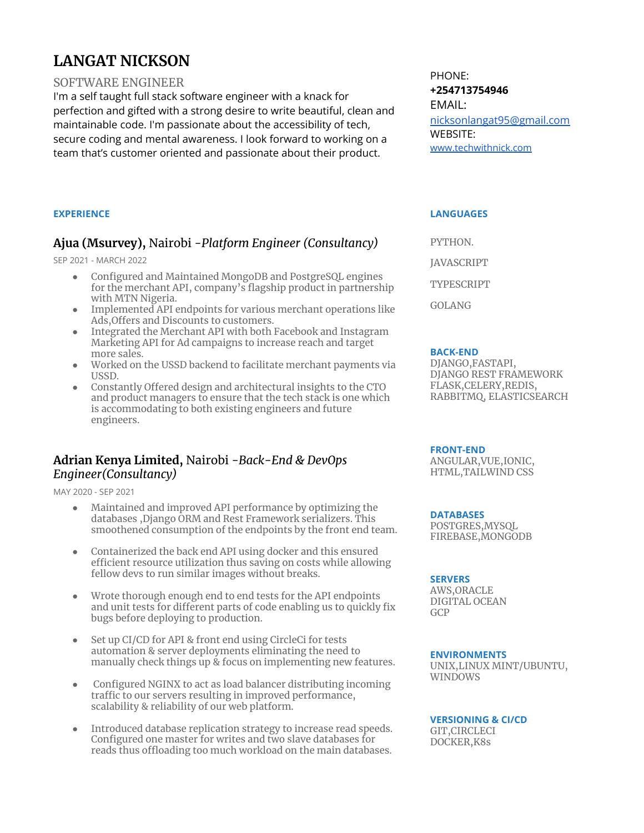# **LANGAT NICKSON**

#### SOFTWARE ENGINEER

I'm a self taught full stack software engineer with a knack for perfection and gifted with a strong desire to write beautiful, clean and maintainable code. I'm passionate about the accessibility of tech, secure coding and mental awareness. I look forward to working on a team that's customer oriented and passionate about their product.

**EXPERIENCE**

### **Ajua (Msurvey),** Nairobi -*Platform Engineer (Consultancy)*

SEP 2021 - MARCH 2022

- Configured and Maintained MongoDB and PostgreSQL engines for the merchant API, company's flagship product in partnership with MTN Nigeria.
- Implemented API endpoints for various merchant operations like Ads,Offers and Discounts to customers.
- Integrated the Merchant API with both Facebook and Instagram Marketing API for Ad campaigns to increase reach and target more sales.
- Worked on the USSD backend to facilitate merchant payments via USSD.
- Constantly Offered design and architectural insights to the CTO and product managers to ensure that the tech stack is one which is accommodating to both existing engineers and future engineers.

### **Adrian Kenya Limited,** Nairobi -*Back-End & DevOps Engineer(Consultancy)*

MAY 2020 - SEP 2021

- Maintained and improved API performance by optimizing the databases ,Django ORM and Rest Framework serializers. This smoothened consumption of the endpoints by the front end team.
- Containerized the back end API using docker and this ensured efficient resource utilization thus saving on costs while allowing fellow devs to run similar images without breaks.
- Wrote thorough enough end to end tests for the API endpoints and unit tests for different parts of code enabling us to quickly fix bugs before deploying to production.
- Set up CI/CD for API & front end using CircleCi for tests automation & server deployments eliminating the need to manually check things up & focus on implementing new features.
- Configured NGINX to act as load balancer distributing incoming traffic to our servers resulting in improved performance, scalability & reliability of our web platform.
- Introduced database replication strategy to increase read speeds. Configured one master for writes and two slave databases for reads thus offloading too much workload on the main databases.

PHONE: **+254713754946** EMAIL: [nicksonlangat95@gmail.com](mailto:nicksonlangat95@gmail.com) WEBSITE: [www.techwithnick.com](http://www.techwithnick.com)

#### **LANGUAGES**

PYTHON. JAVASCRIPT TYPESCRIPT

**BACK-END**

GOLANG

DJANGO,FASTAPI, DJANGO REST FRAMEWORK FLASK,CELERY,REDIS, RABBITMQ, ELASTICSEARCH

#### **FRONT-END**

ANGULAR,VUE,IONIC, HTML,TAILWIND CSS

#### **DATABASES**

POSTGRES,MYSQL FIREBASE,MONGODB

#### **SERVERS**

AWS,ORACLE DIGITAL OCEAN GCP

#### **ENVIRONMENTS**

UNIX,LINUX MINT/UBUNTU, WINDOWS

#### **VERSIONING & CI/CD**

GIT,CIRCLECI DOCKER,K8s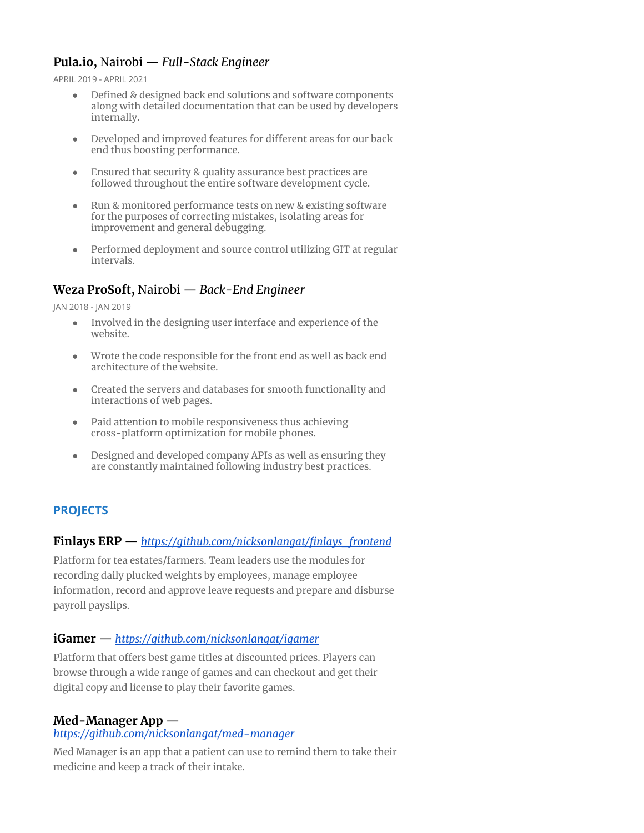# **Pula.io,** Nairobi — *Full-Stack Engineer*

APRIL 2019 - APRIL 2021

- Defined & designed back end solutions and software components along with detailed documentation that can be used by developers internally.
- Developed and improved features for different areas for our back end thus boosting performance.
- Ensured that security & quality assurance best practices are followed throughout the entire software development cycle.
- Run & monitored performance tests on new & existing software for the purposes of correcting mistakes, isolating areas for improvement and general debugging.
- Performed deployment and source control utilizing GIT at regular intervals.

### **Weza ProSoft,** Nairobi — *Back-End Engineer*

JAN 2018 - JAN 2019

- Involved in the designing user interface and experience of the website.
- Wrote the code responsible for the front end as well as back end architecture of the website.
- Created the servers and databases for smooth functionality and interactions of web pages.
- Paid attention to mobile responsiveness thus achieving cross-platform optimization for mobile phones.
- Designed and developed company APIs as well as ensuring they are constantly maintained following industry best practices.

# **PROJECTS**

### **Finlays ERP** — *[https://github.com/nicksonlangat/finlays\\_frontend](https://github.com/nicksonlangat/django_at_ussd)*

Platform for tea estates/farmers. Team leaders use the modules for recording daily plucked weights by employees, manage employee information, record and approve leave requests and prepare and disburse payroll payslips.

#### **iGamer** — *[https://github.com/nicksonlangat/igamer](https://github.com/nicksonlangat/django_at_ussd)*

Platform that offers best game titles at discounted prices. Players can browse through a wide range of games and can checkout and get their digital copy and license to play their favorite games.

### **Med-Manager App** —

#### *[https://github.com/nicksonlangat/med-manager](https://support-portal.adriangroup.app/)*

Med Manager is an app that a patient can use to remind them to take their medicine and keep a track of their intake.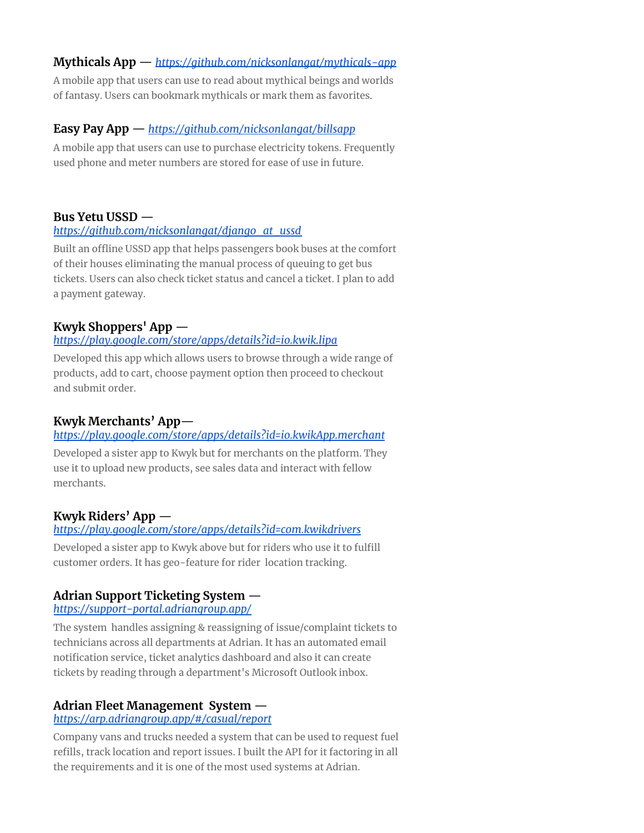### **Mythicals App** — *[https://github.com/nicksonlangat/mythicals-app](https://support-portal.adriangroup.app/)*

A mobile app that users can use to read about mythical beings and worlds of fantasy. Users can bookmark mythicals or mark them as favorites.

### **Easy Pay App** — *[https://github.com/nicksonlangat/billsapp](https://support-portal.adriangroup.app/)*

A mobile app that users can use to purchase electricity tokens. Frequently used phone and meter numbers are stored for ease of use in future.

# **Bus Yetu USSD** —

### *[https://github.com/nicksonlangat/django\\_at\\_ussd](https://github.com/nicksonlangat/django_at_ussd)*

Built an offline USSD app that helps passengers book buses at the comfort of their houses eliminating the manual process of queuing to get bus tickets. Users can also check ticket status and cancel a ticket. I plan to add a payment gateway.

### **Kwyk Shoppers' App** —

#### *<https://play.google.com/store/apps/details?id=io.kwik.lipa>*

Developed this app which allows users to browse through a wide range of products, add to cart, choose payment option then proceed to checkout and submit order.

### **Kwyk Merchants' App**—

### *<https://play.google.com/store/apps/details?id=io.kwikApp.merchant>*

Developed a sister app to Kwyk but for merchants on the platform. They use it to upload new products, see sales data and interact with fellow merchants.

# **Kwyk Riders' App** —

#### *<https://play.google.com/store/apps/details?id=com.kwikdrivers>*

Developed a sister app to Kwyk above but for riders who use it to fulfill customer orders. It has geo-feature for rider location tracking.

# **Adrian Support Ticketing System** —

#### *<https://support-portal.adriangroup.app/>*

The system handles assigning & reassigning of issue/complaint tickets to technicians across all departments at Adrian. It has an automated email notification service, ticket analytics dashboard and also it can create tickets by reading through a department's Microsoft Outlook inbox.

### **Adrian Fleet Management System** —

#### *<https://arp.adriangroup.app/#/casual/report>*

Company vans and trucks needed a system that can be used to request fuel refills, track location and report issues. I built the API for it factoring in all the requirements and it is one of the most used systems at Adrian.